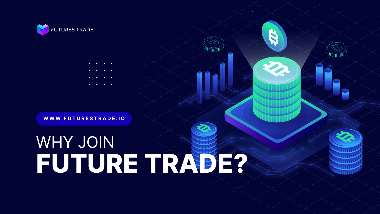### WHY JOIN **FUTURE TRADE?**





- 
- 
- 

### **WWW.FUTURESTRADE.IO**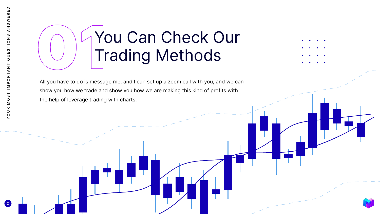## **1980 Trading Methods** Trading Methods



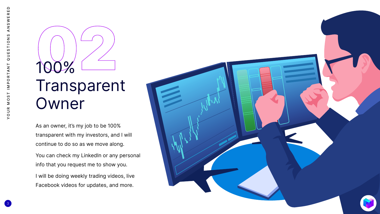As an owner, it's my job to be 100% transparent with my investors, and I will continue to do so as we move along.

You can check my LinkedIn or any personal info that you request me to show you.

### 100% Transparent Owner

I will be doing weekly trading videos, live Facebook videos for updates, and more.

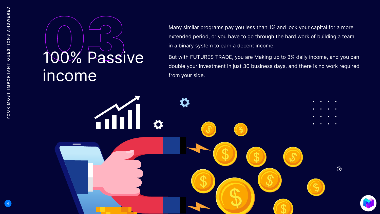

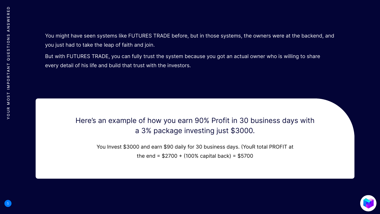You might have seen systems like FUTURES TRADE before, but in those systems, the owners were at the backend, and you just had to take the leap of faith and join.

But with FUTURES TRADE, you can fully trust the system because you got an actual owner who is willing to share every detail of his life and build that trust with the investors.

Here's an example of how you earn 90% Profit in 30 business days with a 3% package investing just \$3000.



You Invest \$3000 and earn \$90 daily for 30 business days. (YouR total PROFIT at

the end =  $$2700 + (100\% \text{ capital back}) = $5700$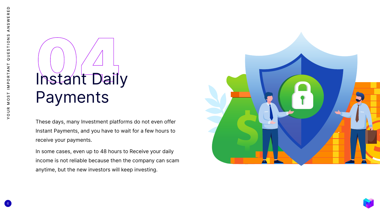These days, many Investment platforms do not even offer Instant Payments, and you have to wait for a few hours to receive your payments.

# Instant Daily Payments

In some cases, even up to 48 hours to Receive your daily income is not reliable because then the company can scam anytime, but the new investors will keep investing.